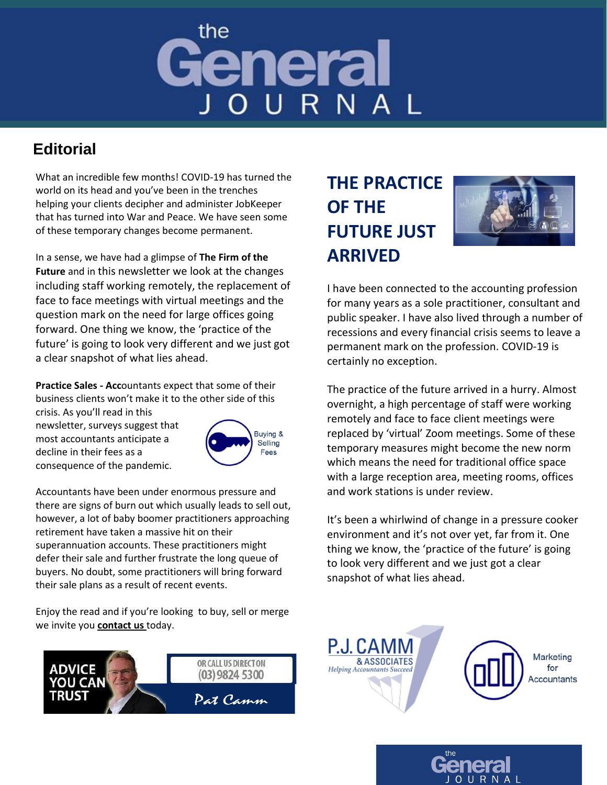# the General OURNAI

### **Editorial**

What an incredible few months! COVID-19 has turned the world on its head and you've been in the trenches helping your clients decipher and administer JobKeeper that has turned into War and Peace. We have seen some of these temporary changes become permanent.

In a sense, we have had a glimpse of **The Firm of the Future** and in this newsletter we look at the changes including staff working remotely, the replacement of face to face meetings with virtual meetings and the question mark on the need for large offices going forward. One thing we know, the 'practice of the future' is going to look very different and we just got a clear snapshot of what lies ahead.

**Practice Sales - Acc**ountants expect that some of their business clients won't make it to the other side of this

crisis. As you'll read in this newsletter, surveys suggest that most accountants anticipate a decline in their fees as a consequence of the pandemic.



Accountants have been under enormous pressure and there are signs of burn out which usually leads to sell out, however, a lot of baby boomer practitioners approaching retirement have taken a massive hit on their superannuation accounts. These practitioners might defer their sale and further frustrate the long queue of buyers. No doubt, some practitioners will bring forward their sale plans as a result of recent events.

Enjoy the read and if you're looking to buy, sell or merge we invite you **[contact us](https://www.pjcamm.com.au/contact/)** today.



## **THE PRACTICE OF THE FUTURE JUST ARRIVED**



I have been connected to the accounting profession for many years as a sole practitioner, consultant and public speaker. I have also lived through a number of recessions and every financial crisis seems to leave a permanent mark on the profession. COVID-19 is certainly no exception.

The practice of the future arrived in a hurry. Almost overnight, a high percentage of staff were working remotely and face to face client meetings were replaced by 'virtual' Zoom meetings. Some of these temporary measures might become the new norm which means the need for traditional office space with a large reception area, meeting rooms, offices and work stations is under review.

It's been a whirlwind of change in a pressure cooker environment and it's not over yet, far from it. One thing we know, the 'practice of the future' is going to look very different and we just got a clear snapshot of what lies ahead.



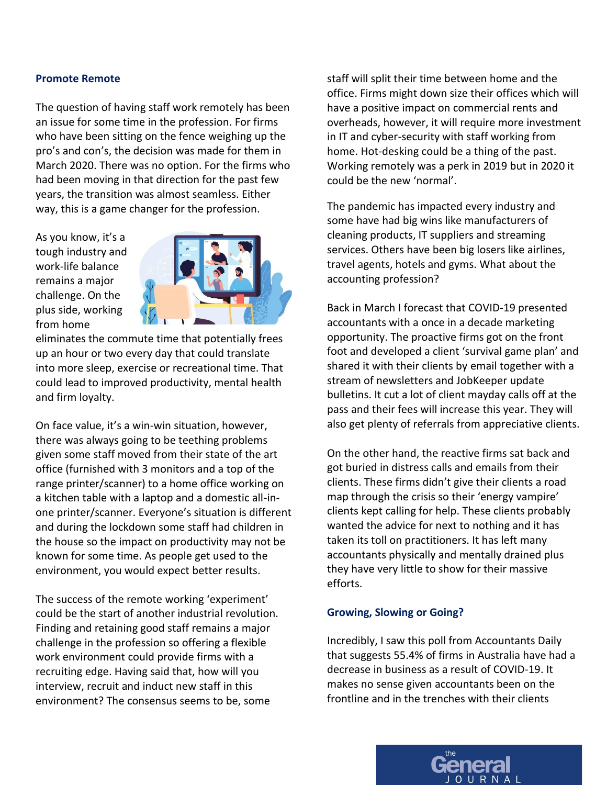#### **Promote Remote**

The question of having staff work remotely has been an issue for some time in the profession. For firms who have been sitting on the fence weighing up the pro's and con's, the decision was made for them in March 2020. There was no option. For the firms who had been moving in that direction for the past few years, the transition was almost seamless. Either way, this is a game changer for the profession.

As you know, it's a tough industry and work-life balance remains a major challenge. On the plus side, working from home



eliminates the commute time that potentially frees up an hour or two every day that could translate into more sleep, exercise or recreational time. That could lead to improved productivity, mental health and firm loyalty.

On face value, it's a win-win situation, however, there was always going to be teething problems given some staff moved from their state of the art office (furnished with 3 monitors and a top of the range printer/scanner) to a home office working on a kitchen table with a laptop and a domestic all-inone printer/scanner. Everyone's situation is different and during the lockdown some staff had children in the house so the impact on productivity may not be known for some time. As people get used to the environment, you would expect better results.

The success of the remote working 'experiment' could be the start of another industrial revolution. Finding and retaining good staff remains a major challenge in the profession so offering a flexible work environment could provide firms with a recruiting edge. Having said that, how will you interview, recruit and induct new staff in this environment? The consensus seems to be, some

staff will split their time between home and the office. Firms might down size their offices which will have a positive impact on commercial rents and overheads, however, it will require more investment in IT and cyber-security with staff working from home. Hot-desking could be a thing of the past. Working remotely was a perk in 2019 but in 2020 it could be the new 'normal'.

The pandemic has impacted every industry and some have had big wins like manufacturers of cleaning products, IT suppliers and streaming services. Others have been big losers like airlines, travel agents, hotels and gyms. What about the accounting profession?

Back in March I forecast that COVID-19 presented accountants with a once in a decade marketing opportunity. The proactive firms got on the front foot and developed a client 'survival game plan' and shared it with their clients by email together with a stream of newsletters and JobKeeper update bulletins. It cut a lot of client mayday calls off at the pass and their fees will increase this year. They will also get plenty of referrals from appreciative clients.

On the other hand, the reactive firms sat back and got buried in distress calls and emails from their clients. These firms didn't give their clients a road map through the crisis so their 'energy vampire' clients kept calling for help. These clients probably wanted the advice for next to nothing and it has taken its toll on practitioners. It has left many accountants physically and mentally drained plus they have very little to show for their massive efforts.

#### **Growing, Slowing or Going?**

Incredibly, I saw this poll from Accountants Daily that suggests 55.4% of firms in Australia have had a decrease in business as a result of COVID-19. It makes no sense given accountants been on the frontline and in the trenches with their clients

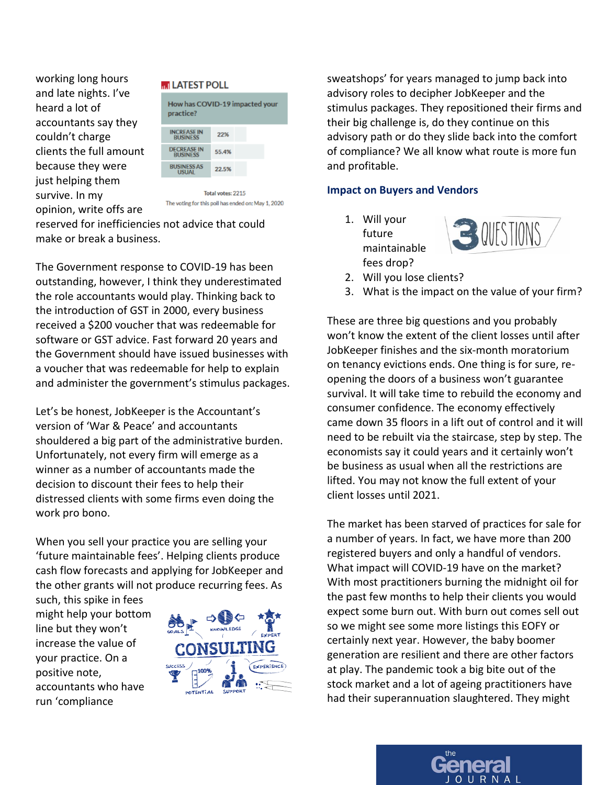working long hours and late nights. I've heard a lot of accountants say they couldn't charge clients the full amount because they were just helping them survive. In my opinion, write offs are





Total votes: 2215 The voting for this poll has ended on: May 1, 2020

reserved for inefficiencies not advice that could make or break a business.

The Government response to COVID-19 has been outstanding, however, I think they underestimated the role accountants would play. Thinking back to the introduction of GST in 2000, every business received a \$200 voucher that was redeemable for software or GST advice. Fast forward 20 years and the Government should have issued businesses with a voucher that was redeemable for help to explain and administer the government's stimulus packages.

Let's be honest, JobKeeper is the Accountant's version of 'War & Peace' and accountants shouldered a big part of the administrative burden. Unfortunately, not every firm will emerge as a winner as a number of accountants made the decision to discount their fees to help their distressed clients with some firms even doing the work pro bono.

When you sell your practice you are selling your 'future maintainable fees'. Helping clients produce cash flow forecasts and applying for JobKeeper and the other grants will not produce recurring fees. As

such, this spike in fees might help your bottom line but they won't increase the value of your practice. On a positive note, accountants who have run 'compliance



sweatshops' for years managed to jump back into advisory roles to decipher JobKeeper and the stimulus packages. They repositioned their firms and their big challenge is, do they continue on this advisory path or do they slide back into the comfort of compliance? We all know what route is more fun and profitable.

#### **Impact on Buyers and Vendors**

1. Will your future maintainable fees drop?



- 2. Will you lose clients?
- 3. What is the impact on the value of your firm?

These are three big questions and you probably won't know the extent of the client losses until after JobKeeper finishes and the six-month moratorium on tenancy evictions ends. One thing is for sure, reopening the doors of a business won't guarantee survival. It will take time to rebuild the economy and consumer confidence. The economy effectively came down 35 floors in a lift out of control and it will need to be rebuilt via the staircase, step by step. The economists say it could years and it certainly won't be business as usual when all the restrictions are lifted. You may not know the full extent of your client losses until 2021.

The market has been starved of practices for sale for a number of years. In fact, we have more than 200 registered buyers and only a handful of vendors. What impact will COVID-19 have on the market? With most practitioners burning the midnight oil for the past few months to help their clients you would expect some burn out. With burn out comes sell out so we might see some more listings this EOFY or certainly next year. However, the baby boomer generation are resilient and there are other factors at play. The pandemic took a big bite out of the stock market and a lot of ageing practitioners have had their superannuation slaughtered. They might

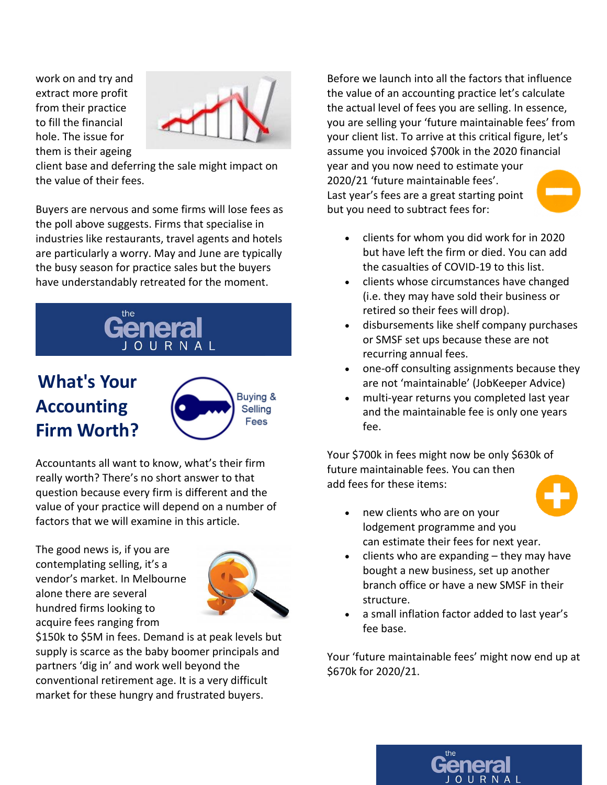work on and try and extract more profit from their practice to fill the financial hole. The issue for them is their ageing



client base and deferring the sale might impact on the value of their fees.

Buyers are nervous and some firms will lose fees as the poll above suggests. Firms that specialise in industries like restaurants, travel agents and hotels are particularly a worry. May and June are typically the busy season for practice sales but the buyers have understandably retreated for the moment.



## **What's Your Accounting Firm Worth?**



Accountants all want to know, what's their firm really worth? There's no short answer to that question because every firm is different and the value of your practice will depend on a number of factors that we will examine in this article.

The good news is, if you are contemplating selling, it's a vendor's market. In Melbourne alone there are several hundred firms looking to acquire fees ranging from



\$150k to \$5M in fees. Demand is at peak levels but supply is scarce as the baby boomer principals and partners 'dig in' and work well beyond the conventional retirement age. It is a very difficult market for these hungry and frustrated buyers.

Before we launch into all the factors that influence the value of an accounting practice let's calculate the actual level of fees you are selling. In essence, you are selling your 'future maintainable fees' from your client list. To arrive at this critical figure, let's assume you invoiced \$700k in the 2020 financial year and you now need to estimate your 2020/21 'future maintainable fees'. Last year's fees are a great starting point but you need to subtract fees for:

- clients for whom you did work for in 2020 but have left the firm or died. You can add the casualties of COVID-19 to this list.
- clients whose circumstances have changed (i.e. they may have sold their business or retired so their fees will drop).
- disbursements like shelf company purchases or SMSF set ups because these are not recurring annual fees.
- one-off consulting assignments because they are not 'maintainable' (JobKeeper Advice)
- multi-year returns you completed last year and the maintainable fee is only one years fee.

Your \$700k in fees might now be only \$630k of future maintainable fees. You can then add fees for these items:



- new clients who are on your lodgement programme and you can estimate their fees for next year.
- $c$  clients who are expanding  $-$  they may have bought a new business, set up another branch office or have a new SMSF in their structure.
- a small inflation factor added to last year's fee base.

Your 'future maintainable fees' might now end up at \$670k for 2020/21.

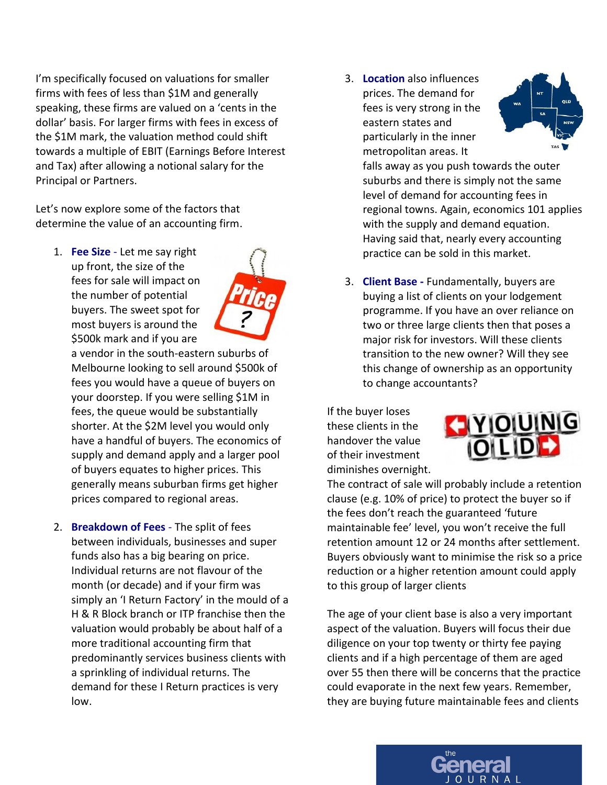I'm specifically focused on valuations for smaller firms with fees of less than \$1M and generally speaking, these firms are valued on a 'cents in the dollar' basis. For larger firms with fees in excess of the \$1M mark, the valuation method could shift towards a multiple of EBIT (Earnings Before Interest and Tax) after allowing a notional salary for the Principal or Partners.

Let's now explore some of the factors that determine the value of an accounting firm.

1. **Fee Size** - Let me say right up front, the size of the fees for sale will impact on the number of potential buyers. The sweet spot for most buyers is around the \$500k mark and if you are



a vendor in the south-eastern suburbs of Melbourne looking to sell around \$500k of fees you would have a queue of buyers on your doorstep. If you were selling \$1M in fees, the queue would be substantially shorter. At the \$2M level you would only have a handful of buyers. The economics of supply and demand apply and a larger pool of buyers equates to higher prices. This generally means suburban firms get higher prices compared to regional areas.

2. **Breakdown of Fees** - The split of fees between individuals, businesses and super funds also has a big bearing on price. Individual returns are not flavour of the month (or decade) and if your firm was simply an 'I Return Factory' in the mould of a H & R Block branch or ITP franchise then the valuation would probably be about half of a more traditional accounting firm that predominantly services business clients with a sprinkling of individual returns. The demand for these I Return practices is very low.

3. **Location** also influences prices. The demand for fees is very strong in the eastern states and particularly in the inner metropolitan areas. It



falls away as you push towards the outer suburbs and there is simply not the same level of demand for accounting fees in regional towns. Again, economics 101 applies with the supply and demand equation. Having said that, nearly every accounting practice can be sold in this market.

3. **Client Base -** Fundamentally, buyers are buying a list of clients on your lodgement programme. If you have an over reliance on two or three large clients then that poses a major risk for investors. Will these clients transition to the new owner? Will they see this change of ownership as an opportunity to change accountants?

If the buyer loses these clients in the handover the value of their investment diminishes overnight.



The contract of sale will probably include a retention clause (e.g. 10% of price) to protect the buyer so if the fees don't reach the guaranteed 'future maintainable fee' level, you won't receive the full retention amount 12 or 24 months after settlement. Buyers obviously want to minimise the risk so a price reduction or a higher retention amount could apply to this group of larger clients

The age of your client base is also a very important aspect of the valuation. Buyers will focus their due diligence on your top twenty or thirty fee paying clients and if a high percentage of them are aged over 55 then there will be concerns that the practice could evaporate in the next few years. Remember, they are buying future maintainable fees and clients

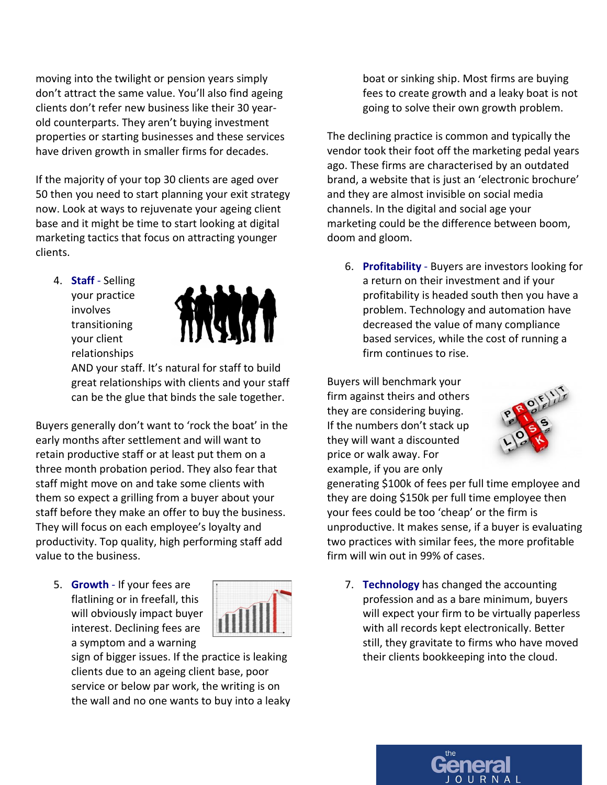moving into the twilight or pension years simply don't attract the same value. You'll also find ageing clients don't refer new business like their 30 yearold counterparts. They aren't buying investment properties or starting businesses and these services have driven growth in smaller firms for decades.

If the majority of your top 30 clients are aged over 50 then you need to start planning your exit strategy now. Look at ways to rejuvenate your ageing client base and it might be time to start looking at digital marketing tactics that focus on attracting younger clients.

4. **Staff** - Selling your practice involves transitioning your client relationships



AND your staff. It's natural for staff to build great relationships with clients and your staff can be the glue that binds the sale together.

Buyers generally don't want to 'rock the boat' in the early months after settlement and will want to retain productive staff or at least put them on a three month probation period. They also fear that staff might move on and take some clients with them so expect a grilling from a buyer about your staff before they make an offer to buy the business. They will focus on each employee's loyalty and productivity. Top quality, high performing staff add value to the business.

5. **Growth** - If your fees are flatlining or in freefall, this will obviously impact buyer interest. Declining fees are a symptom and a warning



sign of bigger issues. If the practice is leaking clients due to an ageing client base, poor service or below par work, the writing is on the wall and no one wants to buy into a leaky boat or sinking ship. Most firms are buying fees to create growth and a leaky boat is not going to solve their own growth problem.

The declining practice is common and typically the vendor took their foot off the marketing pedal years ago. These firms are characterised by an outdated brand, a website that is just an 'electronic brochure' and they are almost invisible on social media channels. In the digital and social age your marketing could be the difference between boom, doom and gloom.

6. **Profitability** - Buyers are investors looking for a return on their investment and if your profitability is headed south then you have a problem. Technology and automation have decreased the value of many compliance based services, while the cost of running a firm continues to rise.

Buyers will benchmark your firm against theirs and others they are considering buying. If the numbers don't stack up they will want a discounted price or walk away. For example, if you are only



generating \$100k of fees per full time employee and they are doing \$150k per full time employee then your fees could be too 'cheap' or the firm is unproductive. It makes sense, if a buyer is evaluating two practices with similar fees, the more profitable firm will win out in 99% of cases.

7. **Technology** has changed the accounting profession and as a bare minimum, buyers will expect your firm to be virtually paperless with all records kept electronically. Better still, they gravitate to firms who have moved their clients bookkeeping into the cloud.

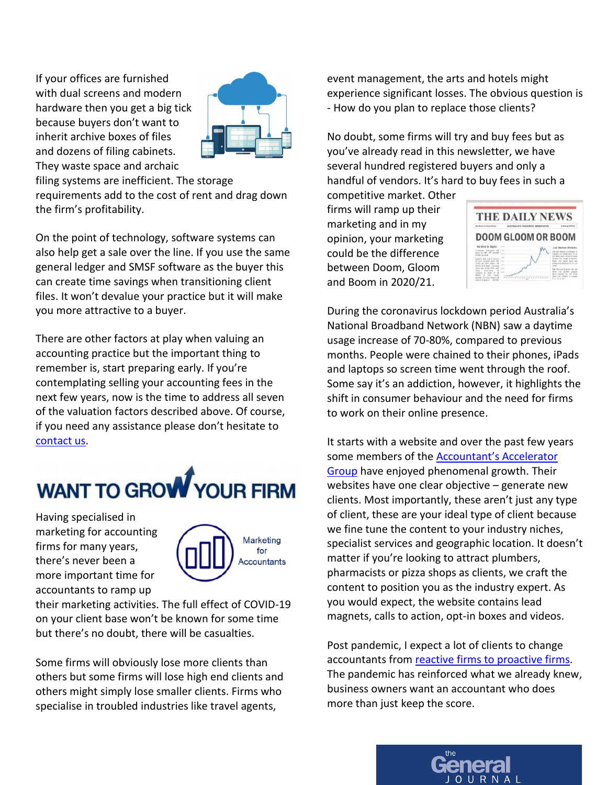If your offices are furnished with dual screens and modern hardware then you get a big tick because buyers don't want to inherit archive boxes of files and dozens of filing cabinets. They waste space and archaic



filing systems are inefficient. The storage requirements add to the cost of rent and drag down the firm's profitability.

On the point of technology, software systems can also help get a sale over the line. If you use the same general ledger and SMSF software as the buyer this can create time savings when transitioning client files. It won't devalue your practice but it will make you more attractive to a buyer.

There are other factors at play when valuing an accounting practice but the important thing to remember is, start preparing early. If you're contemplating selling your accounting fees in the next few years, now is the time to address all seven of the valuation factors described above. Of course, if you need any assistance please don't hesitate to [contact us.](https://www.pjcamm.com.au/contact/)



Having specialised in marketing for accounting firms for many years, there's never been a more important time for accountants to ramp up



their marketing activities. The full effect of COVID-19 on your client base won't be known for some time but there's no doubt, there will be casualties.

Some firms will obviously lose more clients than others but some firms will lose high end clients and others might simply lose smaller clients. Firms who specialise in troubled industries like travel agents,

event management, the arts and hotels might experience significant losses. The obvious question is - How do you plan to replace those clients?

No doubt, some firms will try and buy fees but as you've already read in this newsletter, we have several hundred registered buyers and only a handful of vendors. It's hard to buy fees in such a

competitive market. Other firms will ramp up their marketing and in my opinion, your marketing could be the difference between Doom, Gloom and Boom in 2020/21.



During the coronavirus lockdown period Australia's National Broadband Network (NBN) saw a daytime usage increase of 70-80%, compared to previous months. People were chained to their phones, iPads and laptops so screen time went through the roof. Some say it's an addiction, however, it highlights the shift in consumer behaviour and the need for firms to work on their online presence.

It starts with a website and over the past few years some members of the **Accountant's Accelerator** [Group](https://www.pjcamm.com.au/marketing/the-accountants-accelerator-group/) have enjoyed phenomenal growth. Their websites have one clear objective – generate new clients. Most importantly, these aren't just any type of client, these are your ideal type of client because we fine tune the content to your industry niches, specialist services and geographic location. It doesn't matter if you're looking to attract plumbers, pharmacists or pizza shops as clients, we craft the content to position you as the industry expert. As you would expect, the website contains lead magnets, calls to action, opt-in boxes and videos.

Post pandemic, I expect a lot of clients to change accountants fro[m reactive firms to proactive firms.](https://www.pjcamm.com.au/blog/covid-19-proactive-vs-reactive-accountants/) The pandemic has reinforced what we already knew, business owners want an accountant who does more than just keep the score.

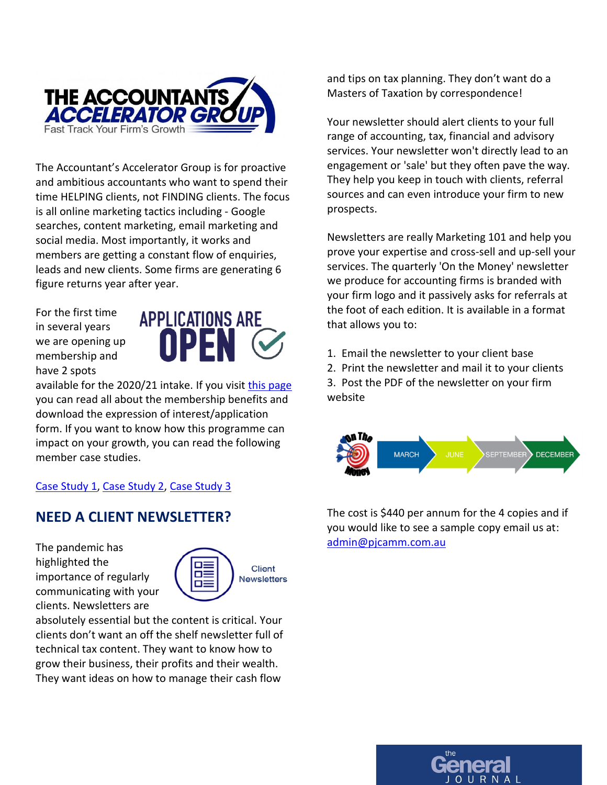

The Accountant's Accelerator Group is for proactive and ambitious accountants who want to spend their time HELPING clients, not FINDING clients. The focus is all online marketing tactics including - Google searches, content marketing, email marketing and social media. Most importantly, it works and members are getting a constant flow of enquiries, leads and new clients. Some firms are generating 6 figure returns year after year.

For the first time in several years we are opening up membership and have 2 spots



available for the 2020/21 intake. If you visit [this page](https://www.pjcamm.com.au/marketing/the-accountants-accelerator-group/) you can read all about the membership benefits and download the expression of interest/application form. If you want to know how this programme can impact on your growth, you can read the following member case studies.

#### [Case Study 1,](https://www.pjcamm.com.au/our-resources/accountant-marketing-testimonial-sbg/) [Case Study 2,](https://www.pjcamm.com.au/our-resources/accountant-marketing-testimonial-lmg/) [Case Study 3](https://www.pjcamm.com.au/our-resources/accountant-marketing-testimonial-nexus/)

#### **NEED A CLIENT NEWSLETTER?**

The pandemic has highlighted the importance of regularly communicating with your clients. Newsletters are



absolutely essential but the content is critical. Your clients don't want an off the shelf newsletter full of technical tax content. They want to know how to grow their business, their profits and their wealth. They want ideas on how to manage their cash flow

and tips on tax planning. They don't want do a Masters of Taxation by correspondence!

Your newsletter should alert clients to your full range of accounting, tax, financial and advisory services. Your newsletter won't directly lead to an engagement or 'sale' but they often pave the way. They help you keep in touch with clients, referral sources and can even introduce your firm to new prospects.

Newsletters are really Marketing 101 and help you prove your expertise and cross-sell and up-sell your services. The quarterly 'On the Money' newsletter we produce for accounting firms is branded with your firm logo and it passively asks for referrals at the foot of each edition. It is available in a format that allows you to:

- 1. Email the newsletter to your client base
- 2. Print the newsletter and mail it to your clients

3. Post the PDF of the newsletter on your firm website



The cost is \$440 per annum for the 4 copies and if you would like to see a sample copy email us at: [admin@pjcamm.com.au](mailto:admin@pjcamm.com.au)

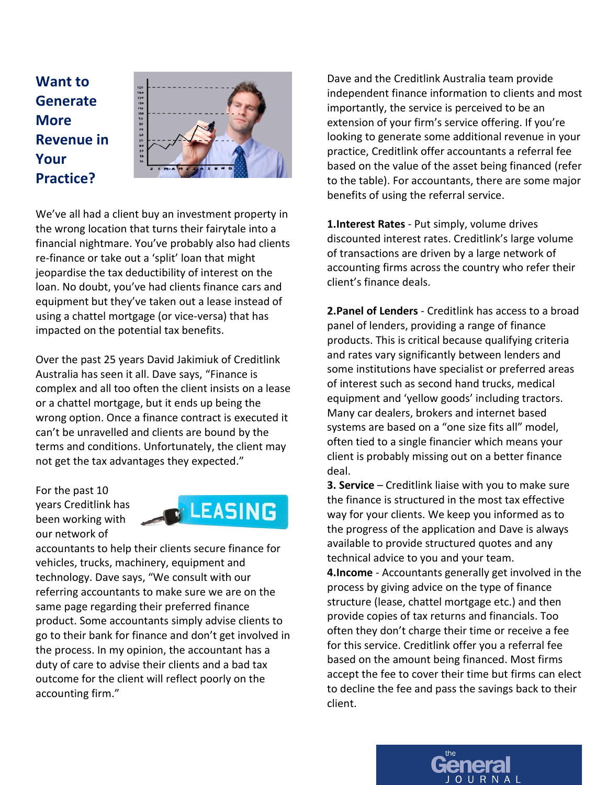**Want to Generate More Revenue in Your Practice?**



We've all had a client buy an investment property in the wrong location that turns their fairytale into a financial nightmare. You've probably also had clients re-finance or take out a 'split' loan that might jeopardise the tax deductibility of interest on the loan. No doubt, you've had clients finance cars and equipment but they've taken out a lease instead of using a chattel mortgage (or vice-versa) that has impacted on the potential tax benefits.

Over the past 25 years David Jakimiuk of Creditlink Australia has seen it all. Dave says, "Finance is complex and all too often the client insists on a lease or a chattel mortgage, but it ends up being the wrong option. Once a finance contract is executed it can't be unravelled and clients are bound by the terms and conditions. Unfortunately, the client may not get the tax advantages they expected."

For the past 10 years Creditlink has been working with our network of



accountants to help their clients secure finance for vehicles, trucks, machinery, equipment and technology. Dave says, "We consult with our referring accountants to make sure we are on the same page regarding their preferred finance product. Some accountants simply advise clients to go to their bank for finance and don't get involved in the process. In my opinion, the accountant has a duty of care to advise their clients and a bad tax outcome for the client will reflect poorly on the accounting firm."

Dave and the Creditlink Australia team provide independent finance information to clients and most importantly, the service is perceived to be an extension of your firm's service offering. If you're looking to generate some additional revenue in your practice, Creditlink offer accountants a referral fee based on the value of the asset being financed (refer to the table). For accountants, there are some major benefits of using the referral service.

**1.Interest Rates** - Put simply, volume drives discounted interest rates. Creditlink's large volume of transactions are driven by a large network of accounting firms across the country who refer their client's finance deals.

**2.Panel of Lenders** - Creditlink has access to a broad panel of lenders, providing a range of finance products. This is critical because qualifying criteria and rates vary significantly between lenders and some institutions have specialist or preferred areas of interest such as second hand trucks, medical equipment and 'yellow goods' including tractors. Many car dealers, brokers and internet based systems are based on a "one size fits all" model, often tied to a single financier which means your client is probably missing out on a better finance deal.

**3. Service** – Creditlink liaise with you to make sure the finance is structured in the most tax effective way for your clients. We keep you informed as to the progress of the application and Dave is always available to provide structured quotes and any technical advice to you and your team.

**4.Income** - Accountants generally get involved in the process by giving advice on the type of finance structure (lease, chattel mortgage etc.) and then provide copies of tax returns and financials. Too often they don't charge their time or receive a fee for this service. Creditlink offer you a referral fee based on the amount being financed. Most firms accept the fee to cover their time but firms can elect to decline the fee and pass the savings back to their client.